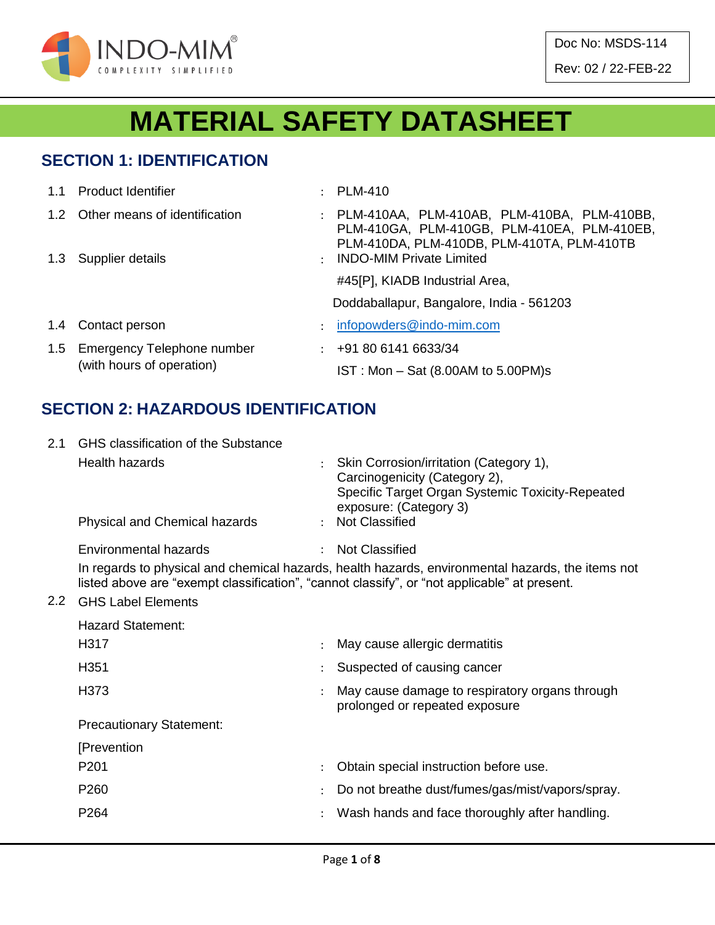

# **MATERIAL SAFETY DATASHEET**

#### **SECTION 1: IDENTIFICATION**

|               | 1.1 Product Identifier                                      |               | $\therefore$ PLM-410                                                                                                                       |
|---------------|-------------------------------------------------------------|---------------|--------------------------------------------------------------------------------------------------------------------------------------------|
|               | 1.2 Other means of identification                           |               | : PLM-410AA, PLM-410AB, PLM-410BA, PLM-410BB,<br>PLM-410GA, PLM-410GB, PLM-410EA, PLM-410EB,<br>PLM-410DA, PLM-410DB, PLM-410TA, PLM-410TB |
|               | 1.3 Supplier details                                        | $\mathcal{L}$ | <b>INDO-MIM Private Limited</b>                                                                                                            |
|               |                                                             |               | #45[P], KIADB Industrial Area,                                                                                                             |
|               |                                                             |               | Doddaballapur, Bangalore, India - 561203                                                                                                   |
| $1.4^{\circ}$ | Contact person                                              |               | infopowders@indo-mim.com                                                                                                                   |
|               | 1.5 Emergency Telephone number<br>(with hours of operation) |               | $\div$ +91 80 6141 6633/34                                                                                                                 |
|               |                                                             |               | $IST: Mon - Sat (8.00AM to 5.00PM)s$                                                                                                       |

#### **SECTION 2: HAZARDOUS IDENTIFICATION**

| 2.1           | GHS classification of the Substance                                                                                                                                                               |               |                                                                                                                                                        |  |  |  |  |  |  |
|---------------|---------------------------------------------------------------------------------------------------------------------------------------------------------------------------------------------------|---------------|--------------------------------------------------------------------------------------------------------------------------------------------------------|--|--|--|--|--|--|
|               | <b>Health hazards</b>                                                                                                                                                                             | $\mathcal{L}$ | Skin Corrosion/irritation (Category 1),<br>Carcinogenicity (Category 2),<br>Specific Target Organ Systemic Toxicity-Repeated<br>exposure: (Category 3) |  |  |  |  |  |  |
|               | Physical and Chemical hazards                                                                                                                                                                     |               | : Not Classified                                                                                                                                       |  |  |  |  |  |  |
|               | Environmental hazards                                                                                                                                                                             | $\mathcal{L}$ | <b>Not Classified</b>                                                                                                                                  |  |  |  |  |  |  |
|               | In regards to physical and chemical hazards, health hazards, environmental hazards, the items not<br>listed above are "exempt classification", "cannot classify", or "not applicable" at present. |               |                                                                                                                                                        |  |  |  |  |  |  |
| $2.2^{\circ}$ | <b>GHS Label Elements</b>                                                                                                                                                                         |               |                                                                                                                                                        |  |  |  |  |  |  |
|               | <b>Hazard Statement:</b>                                                                                                                                                                          |               |                                                                                                                                                        |  |  |  |  |  |  |
|               | H317                                                                                                                                                                                              |               | May cause allergic dermatitis                                                                                                                          |  |  |  |  |  |  |
|               | H351                                                                                                                                                                                              |               | Suspected of causing cancer                                                                                                                            |  |  |  |  |  |  |
|               | H373                                                                                                                                                                                              |               | May cause damage to respiratory organs through<br>prolonged or repeated exposure                                                                       |  |  |  |  |  |  |
|               | <b>Precautionary Statement:</b>                                                                                                                                                                   |               |                                                                                                                                                        |  |  |  |  |  |  |
|               | [Prevention                                                                                                                                                                                       |               |                                                                                                                                                        |  |  |  |  |  |  |
|               | P <sub>201</sub>                                                                                                                                                                                  |               | Obtain special instruction before use.                                                                                                                 |  |  |  |  |  |  |
|               | P260                                                                                                                                                                                              |               | Do not breathe dust/fumes/gas/mist/vapors/spray.                                                                                                       |  |  |  |  |  |  |
|               | P <sub>264</sub>                                                                                                                                                                                  |               | Wash hands and face thoroughly after handling.                                                                                                         |  |  |  |  |  |  |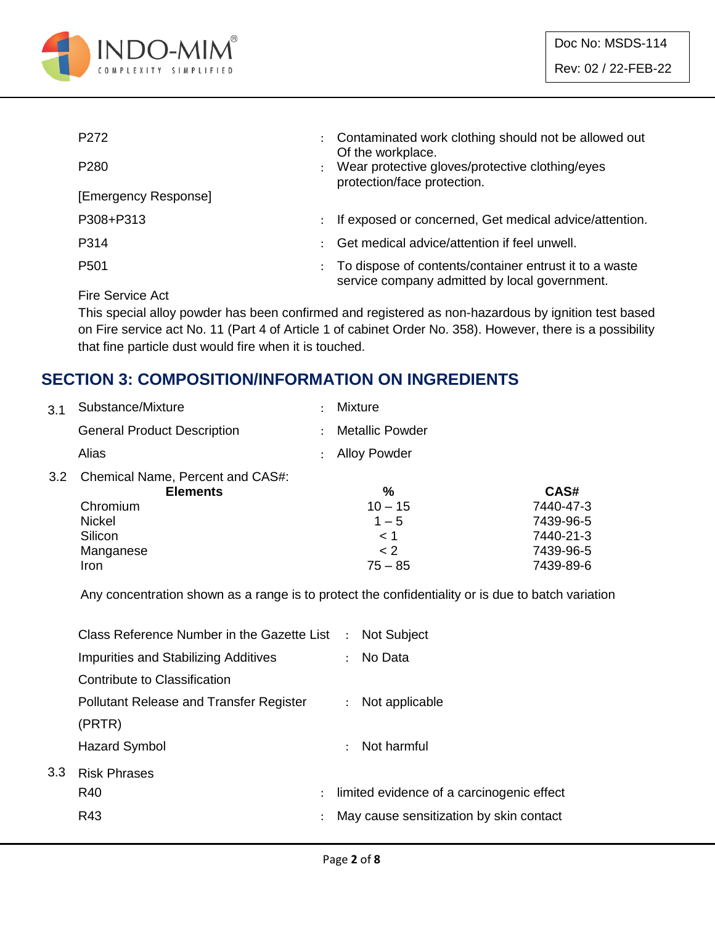

| P <sub>272</sub>     | $\ddot{\phantom{0}}$ | Contaminated work clothing should not be allowed out<br>Of the workplace.                               |
|----------------------|----------------------|---------------------------------------------------------------------------------------------------------|
| P <sub>280</sub>     |                      | Wear protective gloves/protective clothing/eyes<br>protection/face protection.                          |
| [Emergency Response] |                      |                                                                                                         |
| P308+P313            | $\ddot{\phantom{0}}$ | If exposed or concerned, Get medical advice/attention.                                                  |
| P314                 |                      | Get medical advice/attention if feel unwell.                                                            |
| P <sub>501</sub>     |                      | To dispose of contents/container entrust it to a waste<br>service company admitted by local government. |
|                      |                      |                                                                                                         |

Fire Service Act

This special alloy powder has been confirmed and registered as non-hazardous by ignition test based on Fire service act No. 11 (Part 4 of Article 1 of cabinet Order No. 358). However, there is a possibility that fine particle dust would fire when it is touched.

#### **SECTION 3: COMPOSITION/INFORMATION ON INGREDIENTS**

| 3.1 | Substance/Mixture                                   | <b>Mixture</b>         |           |
|-----|-----------------------------------------------------|------------------------|-----------|
|     | <b>General Product Description</b>                  | <b>Metallic Powder</b> |           |
|     | Alias                                               | <b>Alloy Powder</b>    |           |
| 3.2 | Chemical Name, Percent and CAS#:<br><b>Elements</b> | ℅                      | CAS#      |
|     | Chromium                                            | $10 - 15$              | 7440-47-3 |
|     | Nickel                                              | $1 - 5$                | 7439-96-5 |
|     | Silicon                                             | < 1                    | 7440-21-3 |
|     | Manganese                                           | < 2                    | 7439-96-5 |
|     | Iron                                                | $75 - 85$              | 7439-89-6 |

Any concentration shown as a range is to protect the confidentiality or is due to batch variation

|     | Class Reference Number in the Gazette List : Not Subject |               |                                           |
|-----|----------------------------------------------------------|---------------|-------------------------------------------|
|     | Impurities and Stabilizing Additives                     |               | : No Data                                 |
|     | Contribute to Classification                             |               |                                           |
|     | <b>Pollutant Release and Transfer Register</b>           |               | : Not applicable                          |
|     | (PRTR)                                                   |               |                                           |
|     | Hazard Symbol                                            |               | $\therefore$ Not harmful                  |
| 3.3 | <b>Risk Phrases</b>                                      |               |                                           |
|     | R40                                                      | $\mathcal{L}$ | limited evidence of a carcinogenic effect |
|     | R43                                                      |               | May cause sensitization by skin contact   |
|     |                                                          |               |                                           |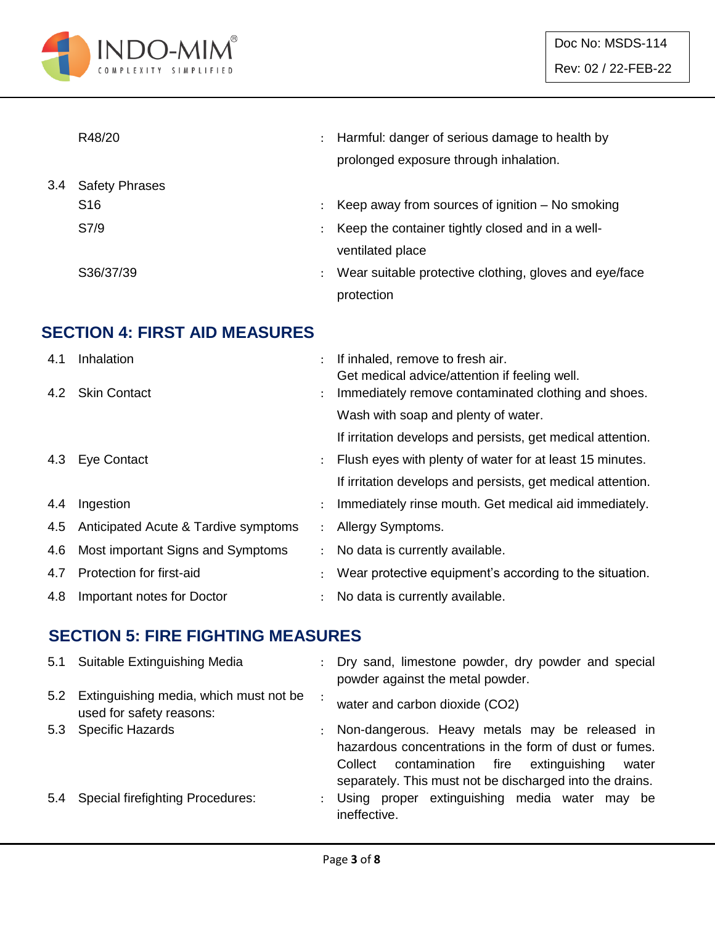

|     | R48/20                | $\ddot{\phantom{0}}$ | Harmful: danger of serious damage to health by         |
|-----|-----------------------|----------------------|--------------------------------------------------------|
|     |                       |                      | prolonged exposure through inhalation.                 |
| 3.4 | <b>Safety Phrases</b> |                      |                                                        |
|     | S <sub>16</sub>       |                      | Keep away from sources of ignition $-$ No smoking      |
|     | S7/9                  |                      | Keep the container tightly closed and in a well-       |
|     |                       |                      | ventilated place                                       |
|     | S36/37/39             | $\ddot{\phantom{0}}$ | Wear suitable protective clothing, gloves and eye/face |
|     |                       |                      | protection                                             |

### **SECTION 4: FIRST AID MEASURES**

| 4.1 | Inhalation                           |                      | If inhaled, remove to fresh air.<br>Get medical advice/attention if feeling well. |
|-----|--------------------------------------|----------------------|-----------------------------------------------------------------------------------|
|     | 4.2 Skin Contact                     | $\ddot{\phantom{0}}$ | Immediately remove contaminated clothing and shoes.                               |
|     |                                      |                      | Wash with soap and plenty of water.                                               |
|     |                                      |                      | If irritation develops and persists, get medical attention.                       |
|     | 4.3 Eye Contact                      | $\ddot{\phantom{0}}$ | Flush eyes with plenty of water for at least 15 minutes.                          |
|     |                                      |                      | If irritation develops and persists, get medical attention.                       |
| 4.4 | Ingestion                            | $\ddot{\phantom{0}}$ | Immediately rinse mouth. Get medical aid immediately.                             |
| 4.5 | Anticipated Acute & Tardive symptoms | $\mathcal{L}$        | Allergy Symptoms.                                                                 |
| 4.6 | Most important Signs and Symptoms    | $\ddot{\phantom{0}}$ | No data is currently available.                                                   |
| 4.7 | Protection for first-aid             |                      | Wear protective equipment's according to the situation.                           |
| 4.8 | Important notes for Doctor           |                      | No data is currently available.                                                   |

#### **SECTION 5: FIRE FIGHTING MEASURES**

|     | 5.1 Suitable Extinguishing Media                                       |               | : Dry sand, limestone powder, dry powder and special<br>powder against the metal powder.                                                                                                                                       |
|-----|------------------------------------------------------------------------|---------------|--------------------------------------------------------------------------------------------------------------------------------------------------------------------------------------------------------------------------------|
|     | 5.2 Extinguishing media, which must not be<br>used for safety reasons: |               | water and carbon dioxide (CO2)                                                                                                                                                                                                 |
|     | 5.3 Specific Hazards                                                   |               | : Non-dangerous. Heavy metals may be released in<br>hazardous concentrations in the form of dust or fumes.<br>contamination fire extinguishing<br>Collect<br>water<br>separately. This must not be discharged into the drains. |
| 5.4 | <b>Special firefighting Procedures:</b>                                | $\mathcal{L}$ | Using proper extinguishing media water may be<br>ineffective.                                                                                                                                                                  |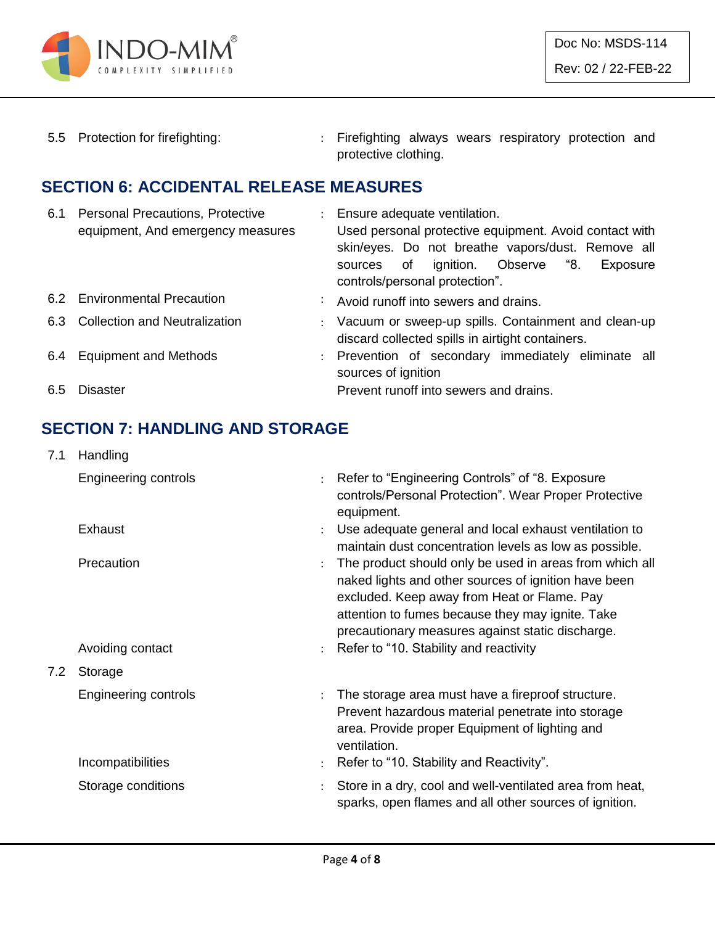

5.5 Protection for firefighting: : Firefighting always wears respiratory protection and protective clothing.

#### **SECTION 6: ACCIDENTAL RELEASE MEASURES**

| 6.1 | <b>Personal Precautions, Protective</b><br>equipment, And emergency measures | : Ensure adequate ventilation.<br>Used personal protective equipment. Avoid contact with<br>skin/eyes. Do not breathe vapors/dust. Remove all<br>ignition. Observe "8.<br>sources of<br>Exposure<br>controls/personal protection". |
|-----|------------------------------------------------------------------------------|------------------------------------------------------------------------------------------------------------------------------------------------------------------------------------------------------------------------------------|
|     | 6.2 Environmental Precaution                                                 | : Avoid runoff into sewers and drains.                                                                                                                                                                                             |
|     | 6.3 Collection and Neutralization                                            | : Vacuum or sweep-up spills. Containment and clean-up<br>discard collected spills in airtight containers.                                                                                                                          |
|     | 6.4 Equipment and Methods                                                    | : Prevention of secondary immediately eliminate all<br>sources of ignition                                                                                                                                                         |
| 6.5 | Disaster                                                                     | Prevent runoff into sewers and drains.                                                                                                                                                                                             |

#### **SECTION 7: HANDLING AND STORAGE**

| 7.1 | Handling                    |                      |                                                                                                                                                                                                                                                                        |
|-----|-----------------------------|----------------------|------------------------------------------------------------------------------------------------------------------------------------------------------------------------------------------------------------------------------------------------------------------------|
|     | <b>Engineering controls</b> | $\ddot{\cdot}$       | Refer to "Engineering Controls" of "8. Exposure<br>controls/Personal Protection". Wear Proper Protective<br>equipment.                                                                                                                                                 |
|     | Exhaust                     | $\ddot{\phantom{a}}$ | Use adequate general and local exhaust ventilation to<br>maintain dust concentration levels as low as possible.                                                                                                                                                        |
|     | Precaution                  | $\ddot{\cdot}$       | The product should only be used in areas from which all<br>naked lights and other sources of ignition have been<br>excluded. Keep away from Heat or Flame. Pay<br>attention to fumes because they may ignite. Take<br>precautionary measures against static discharge. |
|     | Avoiding contact            | $\ddot{\phantom{0}}$ | Refer to "10. Stability and reactivity                                                                                                                                                                                                                                 |
| 7.2 | Storage                     |                      |                                                                                                                                                                                                                                                                        |
|     | <b>Engineering controls</b> | $\ddot{\phantom{0}}$ | The storage area must have a fireproof structure.<br>Prevent hazardous material penetrate into storage<br>area. Provide proper Equipment of lighting and<br>ventilation.                                                                                               |
|     | Incompatibilities           | $\ddot{\phantom{a}}$ | Refer to "10. Stability and Reactivity".                                                                                                                                                                                                                               |
|     | Storage conditions          |                      | Store in a dry, cool and well-ventilated area from heat,<br>sparks, open flames and all other sources of ignition.                                                                                                                                                     |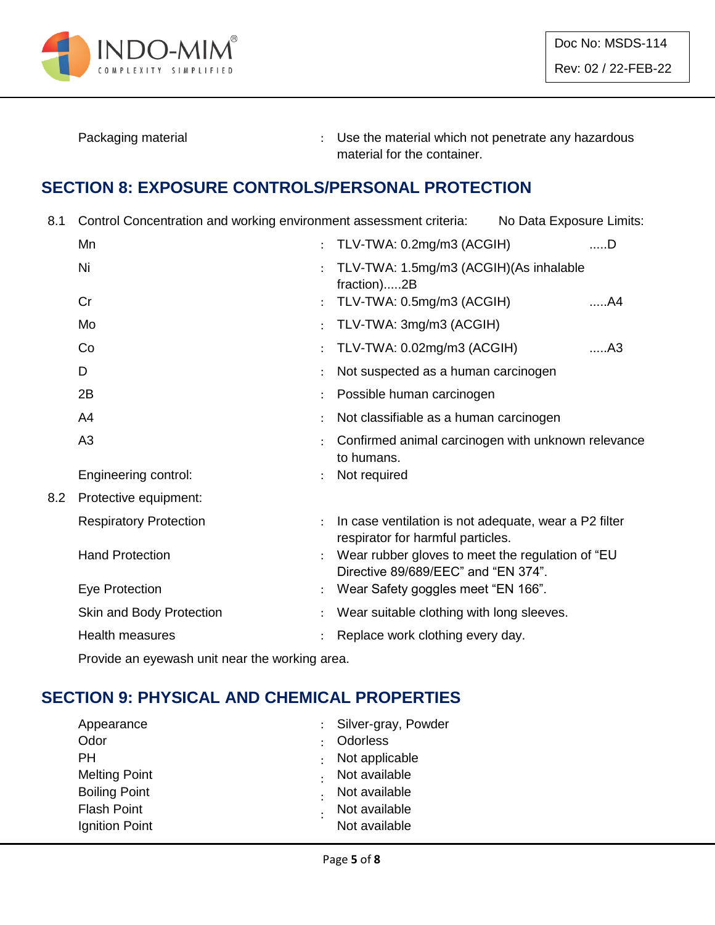

Packaging material **Packaging material in the material which not penetrate any hazardous** material for the container.

#### **SECTION 8: EXPOSURE CONTROLS/PERSONAL PROTECTION**

8.1 Control Concentration and working environment assessment criteria: No Data Exposure Limits:

|     | Mn                            | ÷                    | TLV-TWA: 0.2mg/m3 (ACGIH)                                                                  | $$ D           |
|-----|-------------------------------|----------------------|--------------------------------------------------------------------------------------------|----------------|
|     | Ni                            | $\ddot{\phantom{0}}$ | TLV-TWA: 1.5mg/m3 (ACGIH)(As inhalable<br>fraction)2B                                      |                |
|     | Cr                            |                      | TLV-TWA: 0.5mg/m3 (ACGIH)                                                                  | A4             |
|     | Mo                            | ÷                    | TLV-TWA: 3mg/m3 (ACGIH)                                                                    |                |
|     | Co                            |                      | TLV-TWA: 0.02mg/m3 (ACGIH)                                                                 | A <sub>3</sub> |
|     | D                             |                      | Not suspected as a human carcinogen                                                        |                |
|     | 2B                            |                      | Possible human carcinogen                                                                  |                |
|     | A <sub>4</sub>                |                      | Not classifiable as a human carcinogen                                                     |                |
|     | A <sub>3</sub>                |                      | Confirmed animal carcinogen with unknown relevance<br>to humans.                           |                |
|     | Engineering control:          |                      | Not required                                                                               |                |
| 8.2 | Protective equipment:         |                      |                                                                                            |                |
|     | <b>Respiratory Protection</b> |                      | In case ventilation is not adequate, wear a P2 filter<br>respirator for harmful particles. |                |
|     | <b>Hand Protection</b>        |                      | Wear rubber gloves to meet the regulation of "EU<br>Directive 89/689/EEC" and "EN 374".    |                |
|     | Eye Protection                |                      | Wear Safety goggles meet "EN 166".                                                         |                |
|     | Skin and Body Protection      |                      | Wear suitable clothing with long sleeves.                                                  |                |
|     | <b>Health measures</b>        |                      | Replace work clothing every day.                                                           |                |
|     |                               |                      |                                                                                            |                |

Provide an eyewash unit near the working area.

# **SECTION 9: PHYSICAL AND CHEMICAL PROPERTIES**

| Appearance           | : Silver-gray, Powder |
|----------------------|-----------------------|
| Odor                 | Odorless              |
| PН                   | Not applicable        |
| <b>Melting Point</b> | Not available         |
| <b>Boiling Point</b> | Not available         |
| <b>Flash Point</b>   | Not available         |
| Ignition Point       | Not available         |
|                      |                       |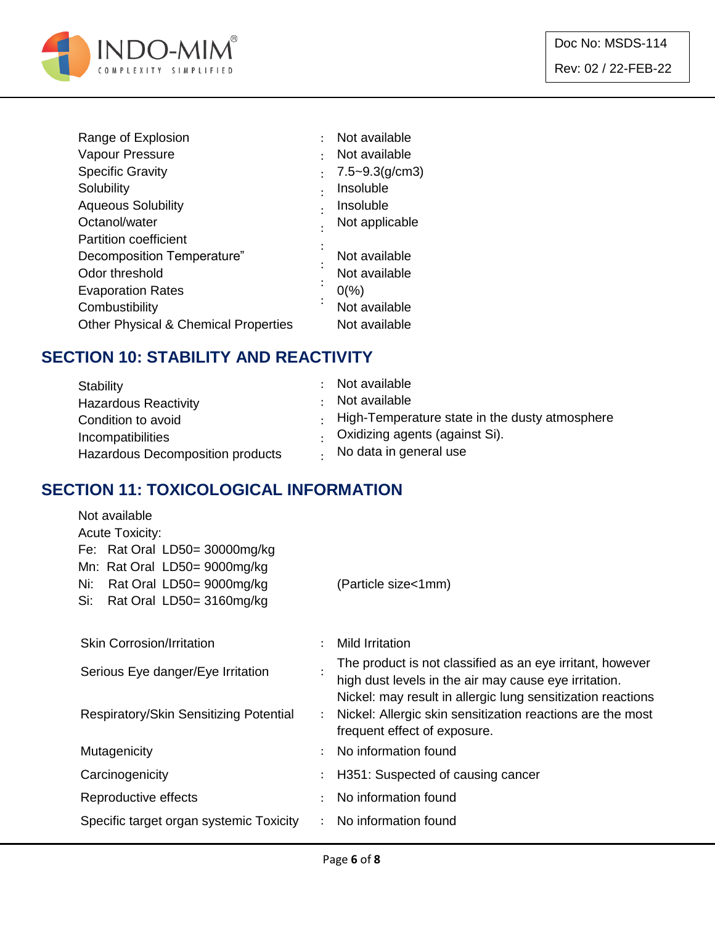

| ٠         | Not available      |
|-----------|--------------------|
|           | Not available      |
|           | $7.5 - 9.3(g/cm3)$ |
| $\bullet$ | Insoluble          |
|           | Insoluble          |
|           | Not applicable     |
|           |                    |
|           | Not available      |
|           | Not available      |
|           | $0\frac{9}{6}$     |
| $\bullet$ | Not available      |
|           | Not available      |
|           |                    |

#### **SECTION 10: STABILITY AND REACTIVITY**

| Stability                               | : Not available<br>Not available                       |
|-----------------------------------------|--------------------------------------------------------|
| <b>Hazardous Reactivity</b>             | $\cdot$ High-Temperature state in the dusty atmosphere |
| Condition to avoid<br>Incompatibilities | . Oxidizing agents (against Si).                       |
| Hazardous Decomposition products        | No data in general use                                 |

#### **SECTION 11: TOXICOLOGICAL INFORMATION**

| Not available                           |                      |                                                             |
|-----------------------------------------|----------------------|-------------------------------------------------------------|
| <b>Acute Toxicity:</b>                  |                      |                                                             |
| Fe: Rat Oral LD50= $30000mg/kg$         |                      |                                                             |
| Mn: Rat Oral LD50= 9000mg/kg            |                      |                                                             |
| Rat Oral LD50= 9000mg/kg<br>Ni:         |                      | (Particle size<1mm)                                         |
| Si:<br>Rat Oral LD50= 3160mg/kg         |                      |                                                             |
|                                         |                      |                                                             |
| <b>Skin Corrosion/Irritation</b>        |                      | <b>Mild Irritation</b>                                      |
| Serious Eye danger/Eye Irritation       |                      | The product is not classified as an eye irritant, however   |
|                                         |                      | high dust levels in the air may cause eye irritation.       |
|                                         |                      | Nickel: may result in allergic lung sensitization reactions |
| Respiratory/Skin Sensitizing Potential  | $\ddot{\phantom{0}}$ | Nickel: Allergic skin sensitization reactions are the most  |
|                                         |                      | frequent effect of exposure.                                |
| Mutagenicity                            | $\ddot{\phantom{a}}$ | No information found                                        |
| Carcinogenicity                         |                      | H351: Suspected of causing cancer                           |
| Reproductive effects                    | $\bullet$            | No information found                                        |
| Specific target organ systemic Toxicity |                      | No information found                                        |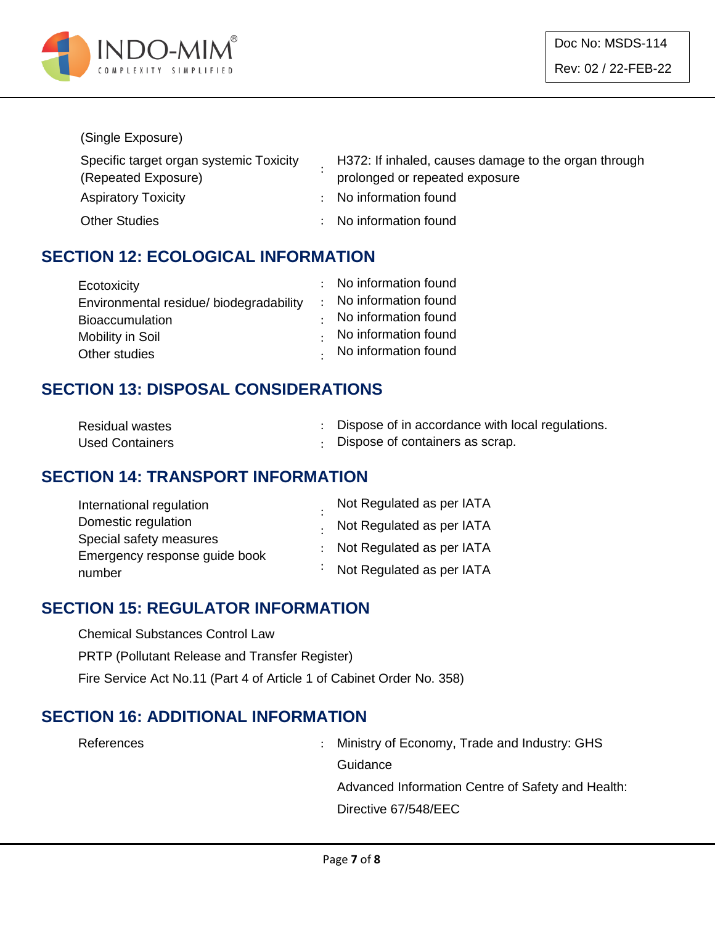

#### (Single Exposure)

| Specific target organ systemic Toxicity | H372: If inhaled, causes damage to the organ through |
|-----------------------------------------|------------------------------------------------------|
| (Repeated Exposure)                     | prolonged or repeated exposure                       |
| <b>Aspiratory Toxicity</b>              | : No information found                               |
| <b>Other Studies</b>                    | : No information found                               |

#### **SECTION 12: ECOLOGICAL INFORMATION**

| Ecotoxicity                             | : No information found |
|-----------------------------------------|------------------------|
| Environmental residue/ biodegradability | : No information found |
| <b>Bioaccumulation</b>                  | No information found   |
| Mobility in Soil                        | No information found   |
| Other studies                           | . No information found |

#### **SECTION 13: DISPOSAL CONSIDERATIONS**

| <b>Residual wastes</b> | Dispose of in accordance with local regulations. |
|------------------------|--------------------------------------------------|
| <b>Used Containers</b> | : Dispose of containers as scrap.                |

#### **SECTION 14: TRANSPORT INFORMATION**

| International regulation      | Not Regulated as per IATA         |
|-------------------------------|-----------------------------------|
| Domestic regulation           | . Not Regulated as per IATA       |
| Special safety measures       |                                   |
| Emergency response guide book | : Not Regulated as per IATA       |
| number                        | $\cdot$ Not Regulated as per IATA |

#### **SECTION 15: REGULATOR INFORMATION**

Chemical Substances Control Law

PRTP (Pollutant Release and Transfer Register)

Fire Service Act No.11 (Part 4 of Article 1 of Cabinet Order No. 358)

#### **SECTION 16: ADDITIONAL INFORMATION**

References : Ministry of Economy, Trade and Industry: GHS **Guidance** Advanced Information Centre of Safety and Health: Directive 67/548/EEC